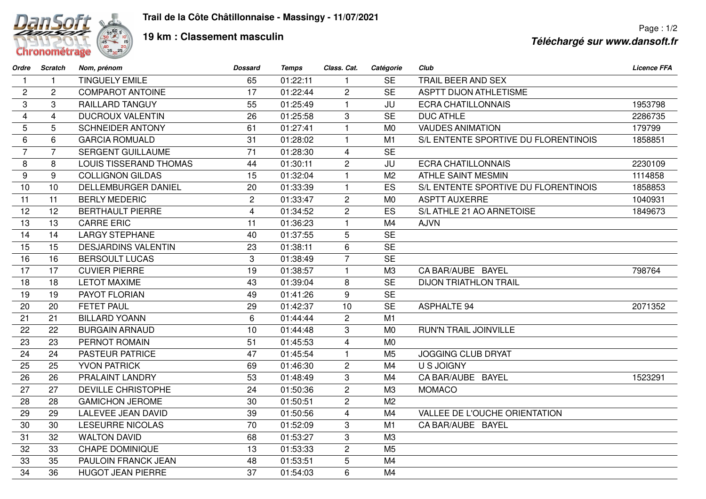

## **19 km : Classement masculin**

Page : 1/2 **Téléchargé sur www.dansoft.fr**

| Ordre                   | Scratch        | Nom, prénom                   | <b>Dossard</b> | <b>Temps</b> | Class. Cat.    | Catégorie      | Club                                 | <b>Licence FFA</b> |
|-------------------------|----------------|-------------------------------|----------------|--------------|----------------|----------------|--------------------------------------|--------------------|
| $\mathbf{1}$            | $\mathbf{1}$   | <b>TINGUELY EMILE</b>         | 65             | 01:22:11     | $\mathbf{1}$   | <b>SE</b>      | TRAIL BEER AND SEX                   |                    |
| 2                       | $\overline{2}$ | <b>COMPAROT ANTOINE</b>       | 17             | 01:22:44     | $\overline{2}$ | <b>SE</b>      | <b>ASPTT DIJON ATHLETISME</b>        |                    |
| 3                       | 3              | <b>RAILLARD TANGUY</b>        | 55             | 01:25:49     | $\mathbf{1}$   | JU             | <b>ECRA CHATILLONNAIS</b>            | 1953798            |
| $\overline{\mathbf{4}}$ | $\overline{4}$ | <b>DUCROUX VALENTIN</b>       | 26             | 01:25:58     | 3              | <b>SE</b>      | <b>DUC ATHLE</b>                     | 2286735            |
| 5                       | 5              | <b>SCHNEIDER ANTONY</b>       | 61             | 01:27:41     | $\mathbf{1}$   | M <sub>0</sub> | <b>VAUDES ANIMATION</b>              | 179799             |
| 6                       | 6              | <b>GARCIA ROMUALD</b>         | 31             | 01:28:02     | $\mathbf{1}$   | M1             | S/L ENTENTE SPORTIVE DU FLORENTINOIS | 1858851            |
| $\overline{7}$          | $\overline{7}$ | <b>SERGENT GUILLAUME</b>      | 71             | 01:28:30     | $\overline{4}$ | <b>SE</b>      |                                      |                    |
| 8                       | 8              | <b>LOUIS TISSERAND THOMAS</b> | 44             | 01:30:11     | $\overline{c}$ | JU             | <b>ECRA CHATILLONNAIS</b>            | 2230109            |
| 9                       | 9              | <b>COLLIGNON GILDAS</b>       | 15             | 01:32:04     | $\mathbf{1}$   | M <sub>2</sub> | ATHLE SAINT MESMIN                   | 1114858            |
| 10                      | 10             | <b>DELLEMBURGER DANIEL</b>    | 20             | 01:33:39     | $\mathbf{1}$   | ES             | S/L ENTENTE SPORTIVE DU FLORENTINOIS | 1858853            |
| 11                      | 11             | <b>BERLY MEDERIC</b>          | $\overline{c}$ | 01:33:47     | $\overline{2}$ | M <sub>0</sub> | <b>ASPTT AUXERRE</b>                 | 1040931            |
| 12                      | 12             | <b>BERTHAULT PIERRE</b>       | $\overline{4}$ | 01:34:52     | $\overline{c}$ | ES             | S/L ATHLE 21 AO ARNETOISE            | 1849673            |
| 13                      | 13             | <b>CARRE ERIC</b>             | 11             | 01:36:23     | $\mathbf{1}$   | M4             | <b>AJVN</b>                          |                    |
| 14                      | 14             | <b>LARGY STEPHANE</b>         | 40             | 01:37:55     | 5              | <b>SE</b>      |                                      |                    |
| 15                      | 15             | <b>DESJARDINS VALENTIN</b>    | 23             | 01:38:11     | 6              | <b>SE</b>      |                                      |                    |
| 16                      | 16             | <b>BERSOULT LUCAS</b>         | 3              | 01:38:49     | $\overline{7}$ | <b>SE</b>      |                                      |                    |
| 17                      | 17             | <b>CUVIER PIERRE</b>          | 19             | 01:38:57     | $\mathbf{1}$   | M <sub>3</sub> | CA BAR/AUBE BAYEL                    | 798764             |
| 18                      | 18             | <b>LETOT MAXIME</b>           | 43             | 01:39:04     | 8              | <b>SE</b>      | <b>DIJON TRIATHLON TRAIL</b>         |                    |
| 19                      | 19             | PAYOT FLORIAN                 | 49             | 01:41:26     | 9              | <b>SE</b>      |                                      |                    |
| 20                      | 20             | <b>FETET PAUL</b>             | 29             | 01:42:37     | 10             | <b>SE</b>      | <b>ASPHALTE 94</b>                   | 2071352            |
| 21                      | 21             | <b>BILLARD YOANN</b>          | 6              | 01:44:44     | $\overline{2}$ | M1             |                                      |                    |
| 22                      | 22             | <b>BURGAIN ARNAUD</b>         | 10             | 01:44:48     | 3              | M <sub>0</sub> | RUN'N TRAIL JOINVILLE                |                    |
| 23                      | 23             | PERNOT ROMAIN                 | 51             | 01:45:53     | $\overline{4}$ | M <sub>0</sub> |                                      |                    |
| 24                      | 24             | <b>PASTEUR PATRICE</b>        | 47             | 01:45:54     | $\mathbf{1}$   | M <sub>5</sub> | <b>JOGGING CLUB DRYAT</b>            |                    |
| 25                      | 25             | <b>YVON PATRICK</b>           | 69             | 01:46:30     | $\overline{2}$ | M4             | <b>U S JOIGNY</b>                    |                    |
| 26                      | 26             | PRALAINT LANDRY               | 53             | 01:48:49     | 3              | M4             | CA BAR/AUBE BAYEL                    | 1523291            |
| 27                      | 27             | <b>DEVILLE CHRISTOPHE</b>     | 24             | 01:50:36     | $\overline{2}$ | M <sub>3</sub> | <b>MOMACO</b>                        |                    |
| 28                      | 28             | <b>GAMICHON JEROME</b>        | 30             | 01:50:51     | $\overline{2}$ | M <sub>2</sub> |                                      |                    |
| 29                      | 29             | <b>LALEVEE JEAN DAVID</b>     | 39             | 01:50:56     | $\overline{4}$ | M4             | VALLEE DE L'OUCHE ORIENTATION        |                    |
| 30                      | 30             | <b>LESEURRE NICOLAS</b>       | 70             | 01:52:09     | 3              | M1             | CA BAR/AUBE BAYEL                    |                    |
| 31                      | 32             | <b>WALTON DAVID</b>           | 68             | 01:53:27     | 3              | M <sub>3</sub> |                                      |                    |
| 32                      | 33             | <b>CHAPE DOMINIQUE</b>        | 13             | 01:53:33     | $\overline{2}$ | M <sub>5</sub> |                                      |                    |
| 33                      | 35             | PAULOIN FRANCK JEAN           | 48             | 01:53:51     | 5              | M4             |                                      |                    |
| 34                      | 36             | <b>HUGOT JEAN PIERRE</b>      | 37             | 01:54:03     | 6              | M4             |                                      |                    |
|                         |                |                               |                |              |                |                |                                      |                    |